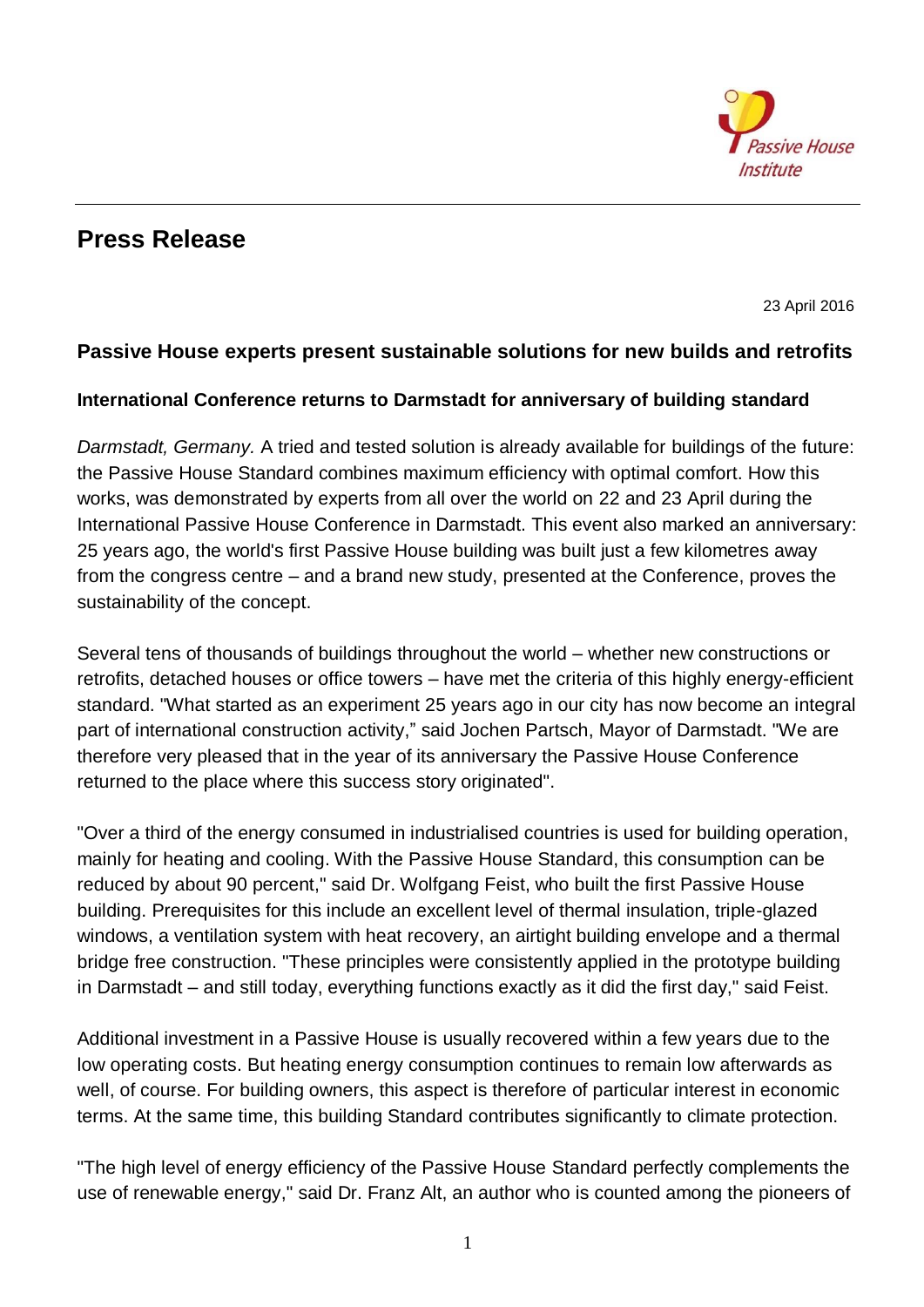

## **Press Release**

23 April 2016

## **Passive House experts present sustainable solutions for new builds and retrofits**

## **International Conference returns to Darmstadt for anniversary of building standard**

*Darmstadt, Germany.* A tried and tested solution is already available for buildings of the future: the Passive House Standard combines maximum efficiency with optimal comfort. How this works, was demonstrated by experts from all over the world on 22 and 23 April during the International Passive House Conference in Darmstadt. This event also marked an anniversary: 25 years ago, the world's first Passive House building was built just a few kilometres away from the congress centre – and a brand new study, presented at the Conference, proves the sustainability of the concept.

Several tens of thousands of buildings throughout the world – whether new constructions or retrofits, detached houses or office towers – have met the criteria of this highly energy-efficient standard. "What started as an experiment 25 years ago in our city has now become an integral part of international construction activity," said Jochen Partsch, Mayor of Darmstadt. "We are therefore very pleased that in the year of its anniversary the Passive House Conference returned to the place where this success story originated".

"Over a third of the energy consumed in industrialised countries is used for building operation, mainly for heating and cooling. With the Passive House Standard, this consumption can be reduced by about 90 percent," said Dr. Wolfgang Feist, who built the first Passive House building. Prerequisites for this include an excellent level of thermal insulation, triple-glazed windows, a ventilation system with heat recovery, an airtight building envelope and a thermal bridge free construction. "These principles were consistently applied in the prototype building in Darmstadt – and still today, everything functions exactly as it did the first day," said Feist.

Additional investment in a Passive House is usually recovered within a few years due to the low operating costs. But heating energy consumption continues to remain low afterwards as well, of course. For building owners, this aspect is therefore of particular interest in economic terms. At the same time, this building Standard contributes significantly to climate protection.

"The high level of energy efficiency of the Passive House Standard perfectly complements the use of renewable energy," said Dr. Franz Alt, an author who is counted among the pioneers of